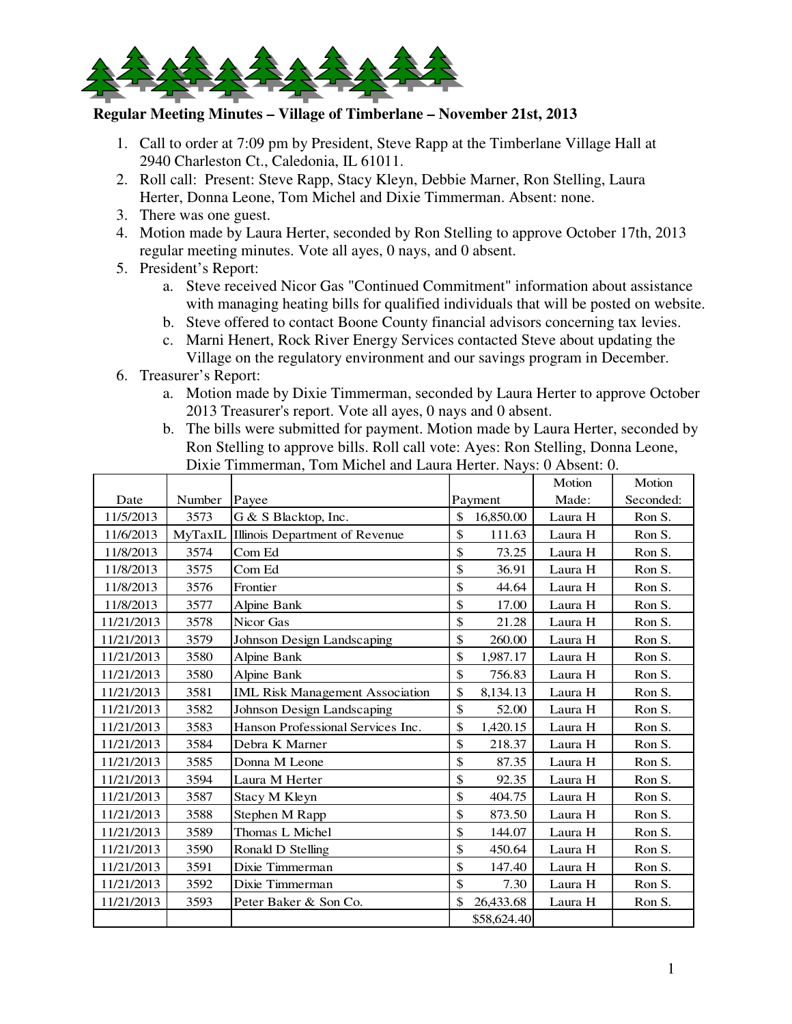

## **Regular Meeting Minutes – Village of Timberlane – November 21st, 2013**

- 1. Call to order at 7:09 pm by President, Steve Rapp at the Timberlane Village Hall at 2940 Charleston Ct., Caledonia, IL 61011.
- 2. Roll call: Present: Steve Rapp, Stacy Kleyn, Debbie Marner, Ron Stelling, Laura Herter, Donna Leone, Tom Michel and Dixie Timmerman. Absent: none.
- 3. There was one guest.
- 4. Motion made by Laura Herter, seconded by Ron Stelling to approve October 17th, 2013 regular meeting minutes. Vote all ayes, 0 nays, and 0 absent.
- 5. President's Report:
	- a. Steve received Nicor Gas "Continued Commitment" information about assistance with managing heating bills for qualified individuals that will be posted on website.
	- b. Steve offered to contact Boone County financial advisors concerning tax levies.
	- c. Marni Henert, Rock River Energy Services contacted Steve about updating the Village on the regulatory environment and our savings program in December.
- 6. Treasurer's Report:
	- a. Motion made by Dixie Timmerman, seconded by Laura Herter to approve October 2013 Treasurer's report. Vote all ayes, 0 nays and 0 absent.
	- b. The bills were submitted for payment. Motion made by Laura Herter, seconded by Ron Stelling to approve bills. Roll call vote: Ayes: Ron Stelling, Donna Leone, Dixie Timmerman, Tom Michel and Laura Herter. Nays: 0 Absent: 0.

|            |         |                                        |               |             | Motion  | Motion    |
|------------|---------|----------------------------------------|---------------|-------------|---------|-----------|
| Date       | Number  | Payee                                  |               | Payment     | Made:   | Seconded: |
| 11/5/2013  | 3573    | G & S Blacktop, Inc.                   | \$            | 16,850.00   | Laura H | Ron S.    |
| 11/6/2013  | MyTaxIL | Illinois Department of Revenue         | \$            | 111.63      | Laura H | Ron S.    |
| 11/8/2013  | 3574    | Com Ed                                 | $\mathsf{\$}$ | 73.25       | Laura H | Ron S.    |
| 11/8/2013  | 3575    | Com Ed                                 | \$            | 36.91       | Laura H | Ron S.    |
| 11/8/2013  | 3576    | Frontier                               | \$            | 44.64       | Laura H | Ron S.    |
| 11/8/2013  | 3577    | Alpine Bank                            | \$            | 17.00       | Laura H | Ron S.    |
| 11/21/2013 | 3578    | Nicor Gas                              | \$            | 21.28       | Laura H | Ron S.    |
| 11/21/2013 | 3579    | Johnson Design Landscaping             | \$            | 260.00      | Laura H | Ron S.    |
| 11/21/2013 | 3580    | Alpine Bank                            | \$            | 1,987.17    | Laura H | Ron S.    |
| 11/21/2013 | 3580    | Alpine Bank                            | \$            | 756.83      | Laura H | Ron S.    |
| 11/21/2013 | 3581    | <b>IML Risk Management Association</b> | \$            | 8,134.13    | Laura H | Ron S.    |
| 11/21/2013 | 3582    | Johnson Design Landscaping             | $\mathsf{\$}$ | 52.00       | Laura H | Ron S.    |
| 11/21/2013 | 3583    | Hanson Professional Services Inc.      | \$            | 1,420.15    | Laura H | Ron S.    |
| 11/21/2013 | 3584    | Debra K Marner                         | \$            | 218.37      | Laura H | Ron S.    |
| 11/21/2013 | 3585    | Donna M Leone                          | \$            | 87.35       | Laura H | Ron S.    |
| 11/21/2013 | 3594    | Laura M Herter                         | \$            | 92.35       | Laura H | Ron S.    |
| 11/21/2013 | 3587    | Stacy M Kleyn                          | \$            | 404.75      | Laura H | Ron S.    |
| 11/21/2013 | 3588    | Stephen M Rapp                         | \$            | 873.50      | Laura H | Ron S.    |
| 11/21/2013 | 3589    | Thomas L Michel                        | \$            | 144.07      | Laura H | Ron S.    |
| 11/21/2013 | 3590    | Ronald D Stelling                      | \$            | 450.64      | Laura H | Ron S.    |
| 11/21/2013 | 3591    | Dixie Timmerman                        | \$            | 147.40      | Laura H | Ron S.    |
| 11/21/2013 | 3592    | Dixie Timmerman                        | \$            | 7.30        | Laura H | Ron S.    |
| 11/21/2013 | 3593    | Peter Baker & Son Co.                  | \$            | 26,433.68   | Laura H | Ron S.    |
|            |         |                                        |               | \$58,624.40 |         |           |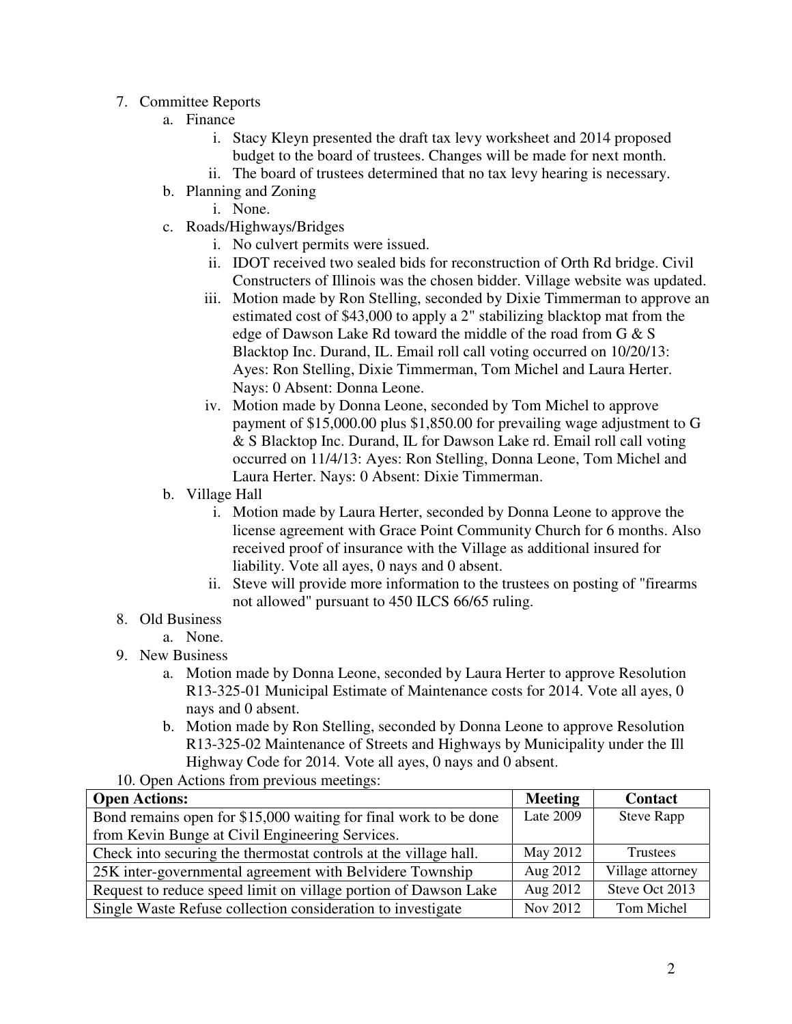- 7. Committee Reports
	- a. Finance
		- i. Stacy Kleyn presented the draft tax levy worksheet and 2014 proposed budget to the board of trustees. Changes will be made for next month.
		- ii. The board of trustees determined that no tax levy hearing is necessary.
	- b. Planning and Zoning
		- i. None.
	- c. Roads/Highways/Bridges
		- i. No culvert permits were issued.
		- ii. IDOT received two sealed bids for reconstruction of Orth Rd bridge. Civil Constructers of Illinois was the chosen bidder. Village website was updated.
		- iii. Motion made by Ron Stelling, seconded by Dixie Timmerman to approve an estimated cost of \$43,000 to apply a 2" stabilizing blacktop mat from the edge of Dawson Lake Rd toward the middle of the road from G & S Blacktop Inc. Durand, IL. Email roll call voting occurred on 10/20/13: Ayes: Ron Stelling, Dixie Timmerman, Tom Michel and Laura Herter. Nays: 0 Absent: Donna Leone.
		- iv. Motion made by Donna Leone, seconded by Tom Michel to approve payment of \$15,000.00 plus \$1,850.00 for prevailing wage adjustment to G & S Blacktop Inc. Durand, IL for Dawson Lake rd. Email roll call voting occurred on 11/4/13: Ayes: Ron Stelling, Donna Leone, Tom Michel and Laura Herter. Nays: 0 Absent: Dixie Timmerman.
	- b. Village Hall
		- i. Motion made by Laura Herter, seconded by Donna Leone to approve the license agreement with Grace Point Community Church for 6 months. Also received proof of insurance with the Village as additional insured for liability. Vote all ayes, 0 nays and 0 absent.
		- ii. Steve will provide more information to the trustees on posting of "firearms not allowed" pursuant to 450 ILCS 66/65 ruling.
- 8. Old Business
- a. None.
- 9. New Business
	- a. Motion made by Donna Leone, seconded by Laura Herter to approve Resolution R13-325-01 Municipal Estimate of Maintenance costs for 2014. Vote all ayes, 0 nays and 0 absent.
	- b. Motion made by Ron Stelling, seconded by Donna Leone to approve Resolution R13-325-02 Maintenance of Streets and Highways by Municipality under the Ill Highway Code for 2014. Vote all ayes, 0 nays and 0 absent.
- 10. Open Actions from previous meetings:

| <b>Open Actions:</b>                                             | <b>Meeting</b> | <b>Contact</b>    |
|------------------------------------------------------------------|----------------|-------------------|
| Bond remains open for \$15,000 waiting for final work to be done | Late 2009      | <b>Steve Rapp</b> |
| from Kevin Bunge at Civil Engineering Services.                  |                |                   |
| Check into securing the thermostat controls at the village hall. | May 2012       | Trustees          |
| 25K inter-governmental agreement with Belvidere Township         | Aug 2012       | Village attorney  |
| Request to reduce speed limit on village portion of Dawson Lake  | Aug 2012       | Steve Oct 2013    |
| Single Waste Refuse collection consideration to investigate      | Nov 2012       | Tom Michel        |